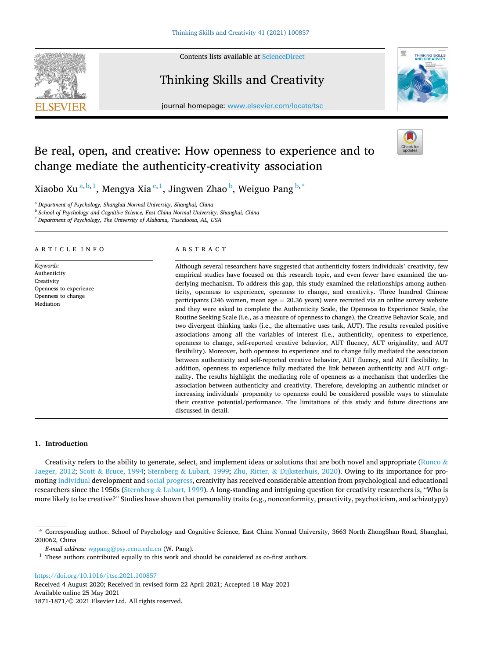Contents lists available at [ScienceDirect](www.sciencedirect.com/science/journal/18711871)

# Thinking Skills and Creativity



journal homepage: [www.elsevier.com/locate/tsc](https://www.elsevier.com/locate/tsc)

# Be real, open, and creative: How openness to experience and to change mediate the authenticity-creativity association



Xiaobo Xu $^{\mathrm{a,b,1}}$ , Mengya Xia $^{\mathrm{c,1}}$ , Jingwen Zhao $^{\mathrm{b}}$ , Weiguo Pang $^{\mathrm{b,*}}$ 

<sup>a</sup> *Department of Psychology, Shanghai Normal University, Shanghai, China* 

<sup>b</sup> *School of Psychology and Cognitive Science, East China Normal University, Shanghai, China* 

<sup>c</sup> *Department of Psychology, The University of Alabama, Tuscaloosa, AL, USA* 

## ARTICLE INFO

*Keywords:*  Authenticity Creativity Openness to experience Openness to change Mediation

# ABSTRACT

Although several researchers have suggested that authenticity fosters individuals' creativity, few empirical studies have focused on this research topic, and even fewer have examined the underlying mechanism. To address this gap, this study examined the relationships among authenticity, openness to experience, openness to change, and creativity. Three hundred Chinese participants (246 women, mean age  $= 20.36$  years) were recruited via an online survey website and they were asked to complete the Authenticity Scale, the Openness to Experience Scale, the Routine Seeking Scale (i.e., as a measure of openness to change), the Creative Behavior Scale, and two divergent thinking tasks (i.e., the alternative uses task, AUT). The results revealed positive associations among all the variables of interest (i.e., authenticity, openness to experience, openness to change, self-reported creative behavior, AUT fluency, AUT originality, and AUT flexibility). Moreover, both openness to experience and to change fully mediated the association between authenticity and self-reported creative behavior, AUT fluency, and AUT flexibility. In addition, openness to experience fully mediated the link between authenticity and AUT originality. The results highlight the mediating role of openness as a mechanism that underlies the association between authenticity and creativity. Therefore, developing an authentic mindset or increasing individuals' propensity to openness could be considered possible ways to stimulate their creative potential/performance. The limitations of this study and future directions are discussed in detail.

# **1. Introduction**

Creativity refers to the ability to generate, select, and implement ideas or solutions that are both novel and appropriate ([Runco](#page-9-0)  $\&$ [Jaeger, 2012;](#page-9-0) Scott & [Bruce, 1994](#page-9-0); Sternberg & [Lubart, 1999](#page-9-0); Zhu, Ritter, & [Dijksterhuis, 2020\)](#page-9-0). Owing to its importance for promoting [individual](https://cn.bing.com/dict/search?q=individual&tnqh_x0026;FORM=BDVSP6&tnqh_x0026;mkt=zh-cn) development and [social](https://cn.bing.com/dict/search?q=social&tnqh_x0026;FORM=BDVSP6&tnqh_x0026;mkt=zh-cn) [progress,](https://cn.bing.com/dict/search?q=progress&tnqh_x0026;FORM=BDVSP6&tnqh_x0026;mkt=zh-cn) creativity has received considerable attention from psychological and educational researchers since the 1950s (Sternberg & [Lubart, 1999\)](#page-9-0). A long-standing and intriguing question for creativity researchers is, "Who is more likely to be creative?" Studies have shown that personality traits (e.g., nonconformity, proactivity, psychoticism, and schizotypy)

<https://doi.org/10.1016/j.tsc.2021.100857>

Available online 25 May 2021 1871-1871/© 2021 Elsevier Ltd. All rights reserved. Received 4 August 2020; Received in revised form 22 April 2021; Accepted 18 May 2021

<sup>\*</sup> Corresponding author. School of Psychology and Cognitive Science, East China Normal University, 3663 North ZhongShan Road, Shanghai, 200062, China

 $E\mbox{-}mail$   $address:$ <br> $w\mbox{-}graph$   $Q\mbox{-}psy.\mbox{c}cnu.edu.\mbox{c}ndu.\mbox{c}n$  (W. Pang).<br>  $1$  These authors contributed equally to this work and should be considered as co-first authors.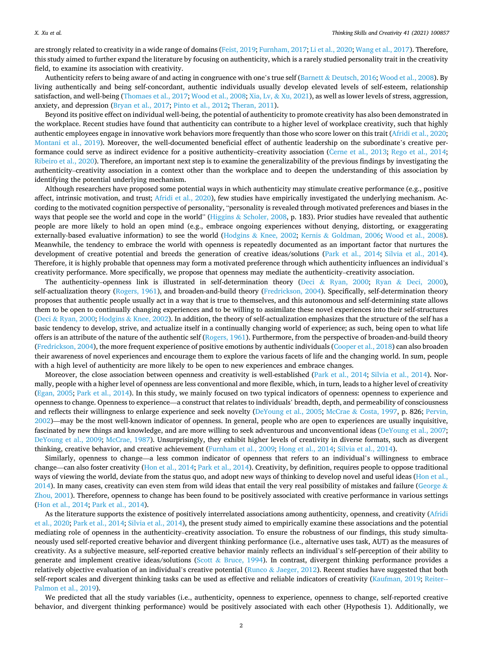are strongly related to creativity in a wide range of domains [\(Feist, 2019](#page-8-0); [Furnham, 2017](#page-8-0); [Li et al., 2020](#page-8-0); [Wang et al., 2017\)](#page-9-0). Therefore, this study aimed to further expand the literature by focusing on authenticity, which is a rarely studied personality trait in the creativity field, to examine its association with creativity.

Authenticity refers to being aware of and acting in congruence with one's true self (Barnett & [Deutsch, 2016](#page-8-0); [Wood et al., 2008](#page-9-0)). By living authentically and being self-concordant, authentic individuals usually develop elevated levels of self-esteem, relationship satisfaction, and well-being [\(Thomaes et al., 2017; Wood et al., 2008](#page-9-0); Xia, Lv, & [Xu, 2021\)](#page-9-0), as well as lower levels of stress, aggression, anxiety, and depression ([Bryan et al., 2017](#page-8-0); [Pinto et al., 2012](#page-9-0); [Theran, 2011](#page-9-0)).

Beyond its positive effect on individual well-being, the potential of authenticity to promote creativity has also been demonstrated in the workplace. Recent studies have found that authenticity can contribute to a higher level of workplace creativity, such that highly authentic employees engage in innovative work behaviors more frequently than those who score lower on this trait ([Afridi et al., 2020](#page-8-0); [Montani et al., 2019\)](#page-9-0). Moreover, the well-documented beneficial effect of authentic leadership on the subordinate's creative performance could serve as indirect evidence for a positive authenticity–creativity association (Cerne [et al., 2013;](#page-8-0) [Rego et al., 2014](#page-9-0); [Ribeiro et al., 2020](#page-9-0)). Therefore, an important next step is to examine the generalizability of the previous findings by investigating the authenticity–creativity association in a context other than the workplace and to deepen the understanding of this association by identifying the potential underlying mechanism.

Although researchers have proposed some potential ways in which authenticity may stimulate creative performance (e.g., positive affect, intrinsic motivation, and trust; [Afridi et al., 2020\)](#page-8-0), few studies have empirically investigated the underlying mechanism. According to the motivated cognition perspective of personality, "personality is revealed through motivated preferences and biases in the ways that people see the world and cope in the world" (Higgins & [Scholer, 2008](#page-8-0), p. 183). Prior studies have revealed that authentic people are more likely to hold an open mind (e.g., embrace ongoing experiences without denying, distorting, or exaggerating externally-based evaluative information) to see the world (Hodgins & [Knee, 2002](#page-8-0); Kernis & [Goldman, 2006;](#page-8-0) [Wood et al., 2008](#page-9-0)). Meanwhile, the tendency to embrace the world with openness is repeatedly documented as an important factor that nurtures the development of creative potential and breeds the generation of creative ideas/solutions [\(Park et al., 2014;](#page-9-0) [Silvia et al., 2014](#page-9-0)). Therefore, it is highly probable that openness may form a motivated preference through which authenticity influences an individual's creativity performance. More specifically, we propose that openness may mediate the authenticity–creativity association.

The authenticity–openness link is illustrated in self-determination theory (Deci & [Ryan, 2000;](#page-8-0) Ryan & [Deci, 2000](#page-9-0)), self-actualization theory ([Rogers, 1961](#page-9-0)), and broaden-and-build theory ([Fredrickson, 2004\)](#page-8-0). Specifically, self-determination theory proposes that authentic people usually act in a way that is true to themselves, and this autonomous and self-determining state allows them to be open to continually changing experiences and to be willing to assimilate these novel experiences into their self-structures (Deci & [Ryan, 2000](#page-8-0); Hodgins & [Knee, 2002\)](#page-8-0). In addition, the theory of self-actualization emphasizes that the structure of the self has a basic tendency to develop, strive, and actualize itself in a continually changing world of experience; as such, being open to what life offers is an attribute of the nature of the authentic self [\(Rogers, 1961](#page-9-0)). Furthermore, from the perspective of broaden-and-build theory [\(Fredrickson, 2004](#page-8-0)), the more frequent experience of positive emotions by authentic individuals [\(Cooper et al., 2018](#page-8-0)) can also broaden their awareness of novel experiences and encourage them to explore the various facets of life and the changing world. In sum, people with a high level of authenticity are more likely to be open to new experiences and embrace changes.

Moreover, the close association between openness and creativity is well-established [\(Park et al., 2014;](#page-9-0) [Silvia et al., 2014\)](#page-9-0). Normally, people with a higher level of openness are less conventional and more flexible, which, in turn, leads to a higher level of creativity [\(Egan, 2005](#page-8-0); [Park et al., 2014\)](#page-9-0). In this study, we mainly focused on two typical indicators of openness: openness to experience and openness to change. Openness to experience—a construct that relates to individuals' breadth, depth, and permeability of consciousness and reflects their willingness to enlarge experience and seek novelty ([DeYoung et al., 2005;](#page-8-0) McCrae & [Costa, 1997,](#page-9-0) p. 826; [Pervin,](#page-9-0) [2002\)](#page-9-0)—may be the most well-known indicator of openness. In general, people who are open to experiences are usually inquisitive, fascinated by new things and knowledge, and are more willing to seek adventurous and unconventional ideas [\(DeYoung et al., 2007](#page-8-0); [DeYoung et al., 2009;](#page-8-0) [McCrae, 1987](#page-9-0)). Unsurprisingly, they exhibit higher levels of creativity in diverse formats, such as divergent thinking, creative behavior, and creative achievement [\(Furnham et al., 2009; Hong et al., 2014](#page-8-0); [Silvia et al., 2014\)](#page-9-0).

Similarly, openness to change—a less common indicator of openness that refers to an individual's willingness to embrace change—can also foster creativity ([Hon et al., 2014;](#page-8-0) [Park et al., 2014\)](#page-9-0). Creativity, by definition, requires people to oppose traditional ways of viewing the world, deviate from the status quo, and adopt new ways of thinking to develop novel and useful ideas [\(Hon et al.,](#page-8-0) [2014\)](#page-8-0). In many cases, creativity can even stem from wild ideas that entail the very real possibility of mistakes and failure ([George](#page-8-0)  $\&$ [Zhou, 2001](#page-8-0)). Therefore, openness to change has been found to be positively associated with creative performance in various settings [\(Hon et al., 2014](#page-8-0); [Park et al., 2014\)](#page-9-0).

As the literature supports the existence of positively interrelated associations among authenticity, openness, and creativity ([Afridi](#page-8-0) [et al., 2020](#page-8-0); [Park et al., 2014](#page-9-0); [Silvia et al., 2014\)](#page-9-0), the present study aimed to empirically examine these associations and the potential mediating role of openness in the authenticity–creativity association. To ensure the robustness of our findings, this study simultaneously used self-reported creative behavior and divergent thinking performance (i.e., alternative uses task, AUT) as the measures of creativity. As a subjective measure, self-reported creative behavior mainly reflects an individual's self-perception of their ability to generate and implement creative ideas/solutions (Scott & [Bruce, 1994](#page-9-0)). In contrast, divergent thinking performance provides a relatively objective evaluation of an individual's creative potential (Runco & [Jaeger, 2012](#page-9-0)). Recent studies have suggested that both self-report scales and divergent thinking tasks can be used as effective and reliable indicators of creativity [\(Kaufman, 2019](#page-8-0); [Reiter--](#page-9-0)[Palmon et al., 2019](#page-9-0)).

We predicted that all the study variables (i.e., authenticity, openness to experience, openness to change, self-reported creative behavior, and divergent thinking performance) would be positively associated with each other (Hypothesis 1). Additionally, we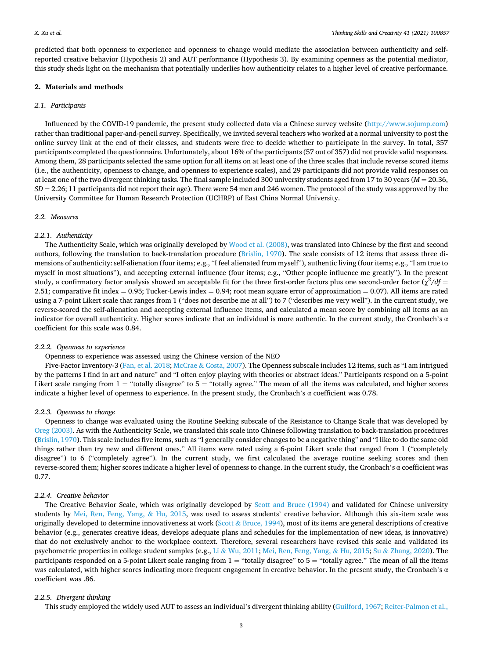predicted that both openness to experience and openness to change would mediate the association between authenticity and selfreported creative behavior (Hypothesis 2) and AUT performance (Hypothesis 3). By examining openness as the potential mediator, this study sheds light on the mechanism that potentially underlies how authenticity relates to a higher level of creative performance.

## **2. Materials and methods**

# *2.1. Participants*

Influenced by the COVID-19 pandemic, the present study collected data via a Chinese survey website [\(http://www.sojump.com](http://www.sojump.com)) rather than traditional paper-and-pencil survey. Specifically, we invited several teachers who worked at a normal university to post the online survey link at the end of their classes, and students were free to decide whether to participate in the survey. In total, 357 participants completed the questionnaire. Unfortunately, about 16% of the participants (57 out of 357) did not provide valid responses. Among them, 28 participants selected the same option for all items on at least one of the three scales that include reverse scored items (i.e., the authenticity, openness to change, and openness to experience scales), and 29 participants did not provide valid responses on at least one of the two divergent thinking tasks. The final sample included 300 university students aged from 17 to 30 years (*M* = 20.36, *SD* = 2.26; 11 participants did not report their age). There were 54 men and 246 women. The protocol of the study was approved by the University Committee for Human Research Protection (UCHRP) of East China Normal University.

## *2.2. Measures*

## *2.2.1. Authenticity*

The Authenticity Scale, which was originally developed by [Wood et al. \(2008\),](#page-9-0) was translated into Chinese by the first and second authors, following the translation to back-translation procedure [\(Brislin, 1970\)](#page-8-0). The scale consists of 12 items that assess three dimensions of authenticity: self-alienation (four items; e.g., "I feel alienated from myself"), authentic living (four items; e.g., "I am true to myself in most situations"), and accepting external influence (four items; e.g., "Other people influence me greatly"). In the present study, a confirmatory factor analysis showed an acceptable fit for the three first-order factors plus one second-order factor  $(\chi^2/df =$ 2.51; comparative fit index = 0.95; Tucker-Lewis index = 0.94; root mean square error of approximation = 0.07). All items are rated using a 7-point Likert scale that ranges from 1 ("does not describe me at all") to 7 ("describes me very well"). In the current study, we reverse-scored the self-alienation and accepting external influence items, and calculated a mean score by combining all items as an indicator for overall authenticity. Higher scores indicate that an individual is more authentic. In the current study, the Cronbach's α coefficient for this scale was 0.84.

# *2.2.2. Openness to experience*

## Openness to experience was assessed using the Chinese version of the NEO

Five-Factor Inventory-3 [\(Fan, et al. 2018;](#page-8-0) McCrae & [Costa, 2007](#page-9-0)). The Openness subscale includes 12 items, such as "I am intrigued by the patterns I find in art and nature" and "I often enjoy playing with theories or abstract ideas." Participants respond on a 5-point Likert scale ranging from  $1 =$  "totally disagree" to  $5 =$  "totally agree." The mean of all the items was calculated, and higher scores indicate a higher level of openness to experience. In the present study, the Cronbach's α coefficient was 0.78.

# *2.2.3. Openness to change*

Openness to change was evaluated using the Routine Seeking subscale of the Resistance to Change Scale that was developed by [Oreg \(2003\).](#page-9-0) As with the Authenticity Scale, we translated this scale into Chinese following translation to back-translation procedures [\(Brislin, 1970\)](#page-8-0). This scale includes five items, such as "I generally consider changes to be a negative thing" and "I like to do the same old things rather than try new and different ones." All items were rated using a 6-point Likert scale that ranged from 1 ("completely disagree") to 6 ("completely agree"). In the current study, we first calculated the average routine seeking scores and then reverse-scored them; higher scores indicate a higher level of openness to change. In the current study, the Cronbach's α coefficient was 0.77.

# *2.2.4. Creative behavior*

The Creative Behavior Scale, which was originally developed by [Scott and Bruce \(1994\)](#page-9-0) and validated for Chinese university students by [Mei, Ren, Feng, Yang,](#page-9-0) & Hu, 2015, was used to assess students' creative behavior. Although this six-item scale was originally developed to determine innovativeness at work (Scott & [Bruce, 1994](#page-9-0)), most of its items are general descriptions of creative behavior (e.g., generates creative ideas, develops adequate plans and schedules for the implementation of new ideas, is innovative) that do not exclusively anchor to the workplace context. Therefore, several researchers have revised this scale and validated its psychometric properties in college student samples (e.g., Li & [Wu, 2011;](#page-8-0) [Mei, Ren, Feng, Yang,](#page-9-0) & Hu, 2015; Su & [Zhang, 2020\)](#page-9-0). The participants responded on a 5-point Likert scale ranging from  $1 =$  "totally disagree" to  $5 =$  "totally agree." The mean of all the items was calculated, with higher scores indicating more frequent engagement in creative behavior. In the present study, the Cronbach's α coefficient was .86.

#### *2.2.5. Divergent thinking*

This study employed the widely used AUT to assess an individual's divergent thinking ability [\(Guilford, 1967;](#page-8-0) [Reiter-Palmon et al.,](#page-9-0)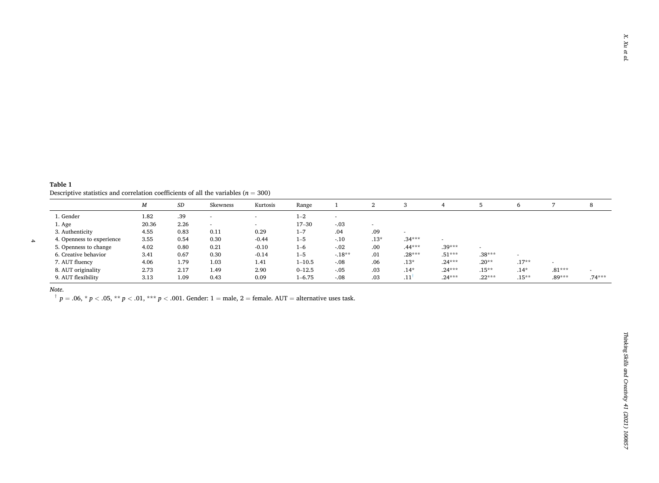<span id="page-3-0"></span>**Table 1**  Descriptive statistics and correlation coefficients of all the variables ( $n = 300$ )

|                           | М     | SD   | Skewness | Kurtosis                 | Range      |                          | ∠                        |          |          |          | 6        |          | 8        |
|---------------------------|-------|------|----------|--------------------------|------------|--------------------------|--------------------------|----------|----------|----------|----------|----------|----------|
| 1. Gender                 | 1.82  | .39  |          | $\overline{\phantom{a}}$ | $1 - 2$    | $\overline{\phantom{a}}$ |                          |          |          |          |          |          |          |
| 1. Age                    | 20.36 | 2.26 | $\sim$   |                          | $17 - 30$  | $-.03$                   | $\overline{\phantom{a}}$ |          |          |          |          |          |          |
| 3. Authenticity           | 4.55  | 0.83 | 0.11     | 0.29                     | $1 - 7$    | .04                      | .09                      |          |          |          |          |          |          |
| 4. Openness to experience | 3.55  | 0.54 | 0.30     | $-0.44$                  | $1 - 5$    | $-.10$                   | $.13*$                   | $.34***$ |          |          |          |          |          |
| 5. Openness to change     | 4.02  | 0.80 | 0.21     | $-0.10$                  | $1 - 6$    | $-.02$                   | .00                      | $.44***$ | $.39***$ |          |          |          |          |
| 6. Creative behavior      | 3.41  | 0.67 | 0.30     | $-0.14$                  | $1 - 5$    | $-18**$                  | .01                      | $.28***$ | $.51***$ | $.38***$ |          |          |          |
| 7. AUT fluency            | 4.06  | 1.79 | 1.03     | 1.41                     | $1 - 10.5$ | $-.08$                   | .06                      | $.13*$   | $.24***$ | $.20**$  | $.17**$  |          |          |
| 8. AUT originality        | 2.73  | 2.17 | 1.49     | 2.90                     | $0 - 12.5$ | $-.05$                   | .03                      | $.14*$   | $.24***$ | $.15***$ | $.14*$   | $.81***$ |          |
| 9. AUT flexibility        | 3.13  | 1.09 | 0.43     | 0.09                     | $1 - 6.75$ | $-.08$                   | .03                      | .11      | $.24***$ | $.22***$ | $.15***$ | $.89***$ | $.74***$ |

*Note*.

4

 $p = 0.06$ ,  $p \le 0.05$ ,  $p \le 0.01$ ,  $p \le 0.01$ . Gender: 1 = male, 2 = female. AUT = alternative uses task.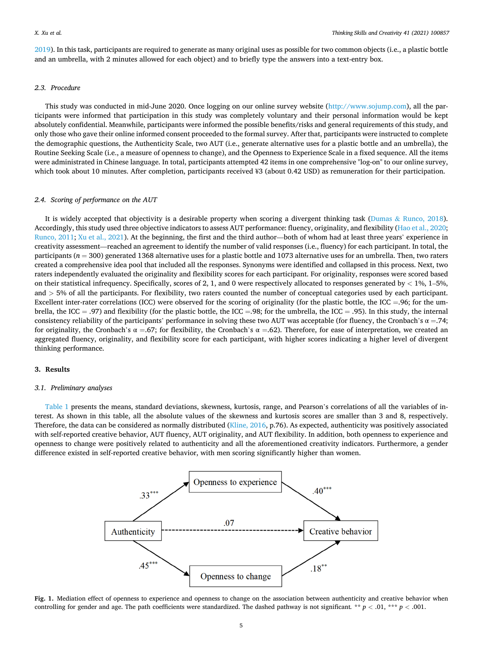<span id="page-4-0"></span>[2019\)](#page-9-0). In this task, participants are required to generate as many original uses as possible for two common objects (i.e., a plastic bottle and an umbrella, with 2 minutes allowed for each object) and to briefly type the answers into a text-entry box.

## *2.3. Procedure*

This study was conducted in mid-June 2020. Once logging on our online survey website [\(http://www.sojump.com](http://www.sojump.com)), all the participants were informed that participation in this study was completely voluntary and their personal information would be kept absolutely confidential. Meanwhile, participants were informed the possible benefits/risks and general requirements of this study, and only those who gave their online informed consent proceeded to the formal survey. After that, participants were instructed to complete the demographic questions, the Authenticity Scale, two AUT (i.e., generate alternative uses for a plastic bottle and an umbrella), the Routine Seeking Scale (i.e., a measure of openness to change), and the Openness to Experience Scale in a fixed sequence. All the items were administrated in Chinese language. In total, participants attempted 42 items in one comprehensive "log-on" to our online survey, which took about 10 minutes. After completion, participants received ¥3 (about 0.42 USD) as remuneration for their participation.

# *2.4. Scoring of performance on the AUT*

It is widely accepted that objectivity is a desirable property when scoring a divergent thinking task (Dumas  $\&$  [Runco, 2018](#page-8-0)). Accordingly, this study used three objective indicators to assess AUT performance: fluency, originality, and flexibility [\(Hao et al., 2020](#page-8-0); [Runco, 2011; Xu et al., 2021\)](#page-9-0). At the beginning, the first and the third author—both of whom had at least three years' experience in creativity assessment—reached an agreement to identify the number of valid responses (i.e., fluency) for each participant. In total, the participants (*n* = 300) generated 1368 alternative uses for a plastic bottle and 1073 alternative uses for an umbrella. Then, two raters created a comprehensive idea pool that included all the responses. Synonyms were identified and collapsed in this process. Next, two raters independently evaluated the originality and flexibility scores for each participant. For originality, responses were scored based on their statistical infrequency. Specifically, scores of 2, 1, and 0 were respectively allocated to responses generated by *<* 1%, 1–5%, and *>* 5% of all the participants. For flexibility, two raters counted the number of conceptual categories used by each participant. Excellent inter-rater correlations (ICC) were observed for the scoring of originality (for the plastic bottle, the ICC =.96; for the umbrella, the ICC = .97) and flexibility (for the plastic bottle, the ICC = .98; for the umbrella, the ICC = .95). In this study, the internal consistency reliability of the participants' performance in solving these two AUT was acceptable (for fluency, the Cronbach's  $\alpha = .74$ ; for originality, the Cronbach's α =.67; for flexibility, the Cronbach's α =.62). Therefore, for ease of interpretation, we created an aggregated fluency, originality, and flexibility score for each participant, with higher scores indicating a higher level of divergent thinking performance.

## **3. Results**

#### *3.1. Preliminary analyses*

[Table 1](#page-3-0) presents the means, standard deviations, skewness, kurtosis, range, and Pearson's correlations of all the variables of interest. As shown in this table, all the absolute values of the skewness and kurtosis scores are smaller than 3 and 8, respectively. Therefore, the data can be considered as normally distributed [\(Kline, 2016,](#page-8-0) p.76). As expected, authenticity was positively associated with self-reported creative behavior, AUT fluency, AUT originality, and AUT flexibility. In addition, both openness to experience and openness to change were positively related to authenticity and all the aforementioned creativity indicators. Furthermore, a gender difference existed in self-reported creative behavior, with men scoring significantly higher than women.



**Fig. 1.** Mediation effect of openness to experience and openness to change on the association between authenticity and creative behavior when controlling for gender and age. The path coefficients were standardized. The dashed pathway is not significant. \*\*  $p < .01$ , \*\*\*  $p < .001$ .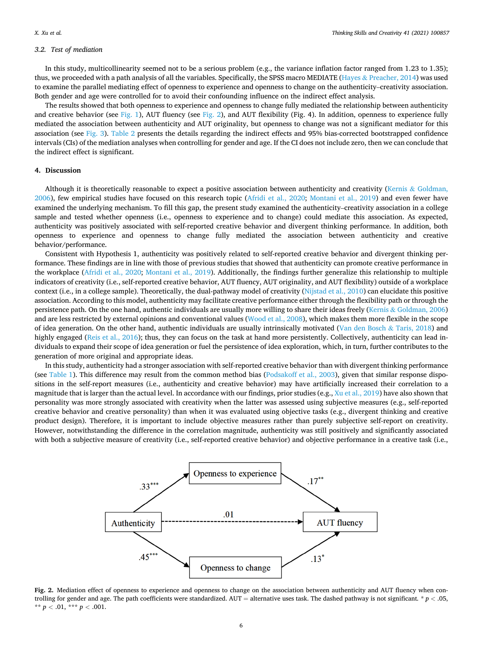#### *3.2. Test of mediation*

In this study, multicollinearity seemed not to be a serious problem (e.g., the variance inflation factor ranged from 1.23 to 1.35); thus, we proceeded with a path analysis of all the variables. Specifically, the SPSS macro MEDIATE (Hayes & [Preacher, 2014](#page-8-0)) was used to examine the parallel mediating effect of openness to experience and openness to change on the authenticity–creativity association. Both gender and age were controlled for to avoid their confounding influence on the indirect effect analysis.

The results showed that both openness to experience and openness to change fully mediated the relationship between authenticity and creative behavior (see [Fig. 1\)](#page-4-0), AUT fluency (see Fig. 2), and AUT flexibility (Fig. 4). In addition, openness to experience fully mediated the association between authenticity and AUT originality, but openness to change was not a significant mediator for this association (see [Fig. 3\)](#page-6-0). [Table 2](#page-6-0) presents the details regarding the indirect effects and 95% bias-corrected bootstrapped confidence intervals (CIs) of the mediation analyses when controlling for gender and age. If the CI does not include zero, then we can conclude that the indirect effect is significant.

## **4. Discussion**

Although it is theoretically reasonable to expect a positive association between authenticity and creativity (Kernis  $\&$  [Goldman,](#page-8-0) [2006\)](#page-8-0), few empirical studies have focused on this research topic ([Afridi et al., 2020](#page-8-0); [Montani et al., 2019\)](#page-9-0) and even fewer have examined the underlying mechanism. To fill this gap, the present study examined the authenticity–creativity association in a college sample and tested whether openness (i.e., openness to experience and to change) could mediate this association. As expected, authenticity was positively associated with self-reported creative behavior and divergent thinking performance. In addition, both openness to experience and openness to change fully mediated the association between authenticity and creative behavior/performance.

Consistent with Hypothesis 1, authenticity was positively related to self-reported creative behavior and divergent thinking performance. These findings are in line with those of previous studies that showed that authenticity can promote creative performance in the workplace [\(Afridi et al., 2020](#page-8-0); [Montani et al., 2019\)](#page-9-0). Additionally, the findings further generalize this relationship to multiple indicators of creativity (i.e., self-reported creative behavior, AUT fluency, AUT originality, and AUT flexibility) outside of a workplace context (i.e., in a college sample). Theoretically, the dual-pathway model of creativity [\(Nijstad et al., 2010\)](#page-9-0) can elucidate this positive association. According to this model, authenticity may facilitate creative performance either through the flexibility path or through the persistence path. On the one hand, authentic individuals are usually more willing to share their ideas freely (Kernis & [Goldman, 2006](#page-8-0)) and are less restricted by external opinions and conventional values [\(Wood et al., 2008](#page-9-0)), which makes them more flexible in the scope of idea generation. On the other hand, authentic individuals are usually intrinsically motivated ([Van den Bosch](#page-9-0) & Taris, 2018) and highly engaged [\(Reis et al., 2016\)](#page-9-0); thus, they can focus on the task at hand more persistently. Collectively, authenticity can lead individuals to expand their scope of idea generation or fuel the persistence of idea exploration, which, in turn, further contributes to the generation of more original and appropriate ideas.

In this study, authenticity had a stronger association with self-reported creative behavior than with divergent thinking performance (see [Table 1](#page-3-0)). This difference may result from the common method bias [\(Podsakoff et al., 2003\)](#page-9-0), given that similar response dispositions in the self-report measures (i.e., authenticity and creative behavior) may have artificially increased their correlation to a magnitude that is larger than the actual level. In accordance with our findings, prior studies (e.g., [Xu et al., 2019\)](#page-9-0) have also shown that personality was more strongly associated with creativity when the latter was assessed using subjective measures (e.g., self-reported creative behavior and creative personality) than when it was evaluated using objective tasks (e.g., divergent thinking and creative product design). Therefore, it is important to include objective measures rather than purely subjective self-report on creativity. However, notwithstanding the difference in the correlation magnitude, authenticity was still positively and significantly associated with both a subjective measure of creativity (i.e., self-reported creative behavior) and objective performance in a creative task (i.e.,



**Fig. 2.** Mediation effect of openness to experience and openness to change on the association between authenticity and AUT fluency when controlling for gender and age. The path coefficients were standardized. AUT = alternative uses task. The dashed pathway is not significant*.* \* *p <* .05, \*\*  $p < .01$ , \*\*\*  $p < .001$ .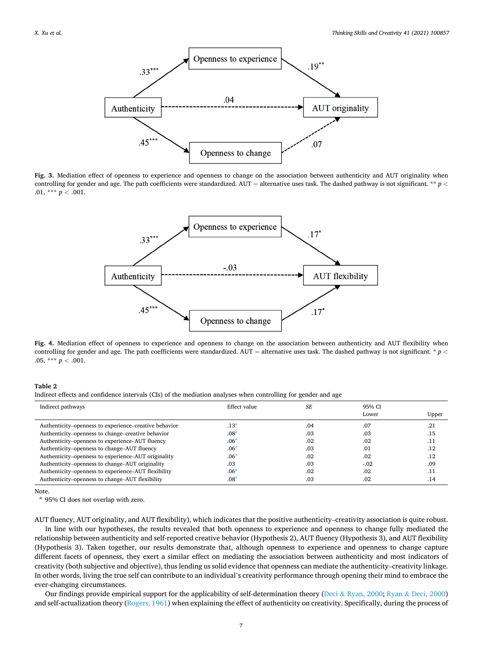<span id="page-6-0"></span>

**Fig. 3.** Mediation effect of openness to experience and openness to change on the association between authenticity and AUT originality when controlling for gender and age. The path coefficients were standardized. AUT = alternative uses task. The dashed pathway is not significant*.* \*\* *p <* .01, \*\*\*  $p < .001$ .



**Fig. 4.** Mediation effect of openness to experience and openness to change on the association between authenticity and AUT flexibility when controlling for gender and age. The path coefficients were standardized. AUT = alternative uses task. The dashed pathway is not significant*.* \* *p <* .05, \*\*\*  $p < .001$ .

**Table 2** 

Indirect effects and confidence intervals (CIs) of the mediation analyses when controlling for gender and age

| Indirect pathways                                     | Effect value     | <b>SE</b> | 95% CI<br>Lower | Upper |
|-------------------------------------------------------|------------------|-----------|-----------------|-------|
| Authenticity–openness to experience–creative behavior | .13 <sup>a</sup> | .04       | .07             | .21   |
| Authenticity-openness to change-creative behavior     | .08 <sup>a</sup> | .03       | .03             | .15   |
| Authenticity–openness to experience–AUT fluency       | .06 <sup>a</sup> | .02       | .02             | .11   |
| Authenticity-openness to change-AUT fluency           | .06 <sup>a</sup> | .03       | .01             | .12   |
| Authenticity–openness to experience–AUT originality   | .06 <sup>a</sup> | .02       | .02             | .12   |
| Authenticity-openness to change-AUT originality       | .03              | .03       | $-.02$          | .09   |
| Authenticity-openness to experience-AUT flexibility   | .06 <sup>a</sup> | .02       | .02             | .11   |
| Authenticity–openness to change–AUT flexibility       | .08 <sup>a</sup> | .03       | .02             | .14   |

Note.

<sup>a</sup> 95% CI does not overlap with zero.

AUT fluency, AUT originality, and AUT flexibility), which indicates that the positive authenticity–creativity association is quite robust. In line with our hypotheses, the results revealed that both openness to experience and openness to change fully mediated the relationship between authenticity and self-reported creative behavior (Hypothesis 2), AUT fluency (Hypothesis 3), and AUT flexibility (Hypothesis 3). Taken together, our results demonstrate that, although openness to experience and openness to change capture different facets of openness, they exert a similar effect on mediating the association between authenticity and most indicators of creativity (both subjective and objective), thus lending us solid evidence that openness can mediate the authenticity–creativity linkage. In other words, living the true self can contribute to an individual's creativity performance through opening their mind to embrace the ever-changing circumstances.

Our findings provide empirical support for the applicability of self-determination theory (Deci & [Ryan, 2000;](#page-8-0) Ryan & [Deci, 2000](#page-9-0)) and self-actualization theory [\(Rogers, 1961](#page-9-0)) when explaining the effect of authenticity on creativity. Specifically, during the process of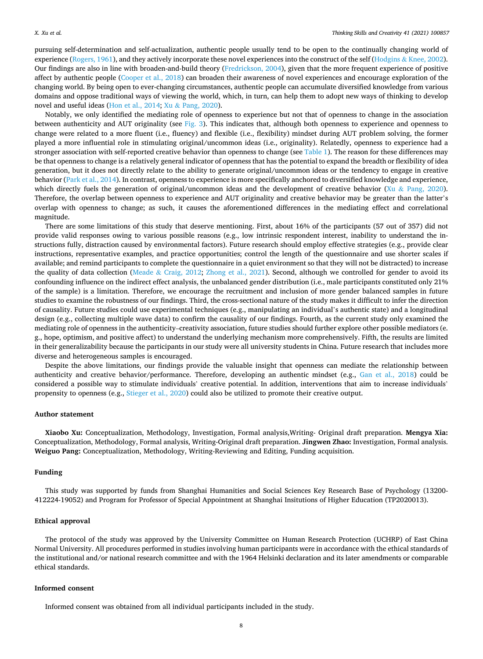pursuing self-determination and self-actualization, authentic people usually tend to be open to the continually changing world of experience ([Rogers, 1961](#page-9-0)), and they actively incorporate these novel experiences into the construct of the self (Hodgins & [Knee, 2002](#page-8-0)). Our findings are also in line with broaden-and-build theory [\(Fredrickson, 2004](#page-8-0)), given that the more frequent experience of positive affect by authentic people [\(Cooper et al., 2018](#page-8-0)) can broaden their awareness of novel experiences and encourage exploration of the changing world. By being open to ever-changing circumstances, authentic people can accumulate diversified knowledge from various domains and oppose traditional ways of viewing the world, which, in turn, can help them to adopt new ways of thinking to develop novel and useful ideas [\(Hon et al., 2014;](#page-8-0) Xu & [Pang, 2020\)](#page-9-0).

Notably, we only identified the mediating role of openness to experience but not that of openness to change in the association between authenticity and AUT originality (see [Fig. 3\)](#page-6-0). This indicates that, although both openness to experience and openness to change were related to a more fluent (i.e., fluency) and flexible (i.e., flexibility) mindset during AUT problem solving, the former played a more influential role in stimulating original/uncommon ideas (i.e., originality). Relatedly, openness to experience had a stronger association with self-reported creative behavior than openness to change (see [Table 1](#page-3-0)). The reason for these differences may be that openness to change is a relatively general indicator of openness that has the potential to expand the breadth or flexibility of idea generation, but it does not directly relate to the ability to generate original/uncommon ideas or the tendency to engage in creative behavior ([Park et al., 2014](#page-9-0)). In contrast, openness to experience is more specifically anchored to diversified knowledge and experience, which directly fuels the generation of original/uncommon ideas and the development of creative behavior ( $Xu \& Pangi$ , 2020). Therefore, the overlap between openness to experience and AUT originality and creative behavior may be greater than the latter's overlap with openness to change; as such, it causes the aforementioned differences in the mediating effect and correlational magnitude.

There are some limitations of this study that deserve mentioning. First, about 16% of the participants (57 out of 357) did not provide valid responses owing to various possible reasons (e.g., low intrinsic respondent interest, inability to understand the instructions fully, distraction caused by environmental factors). Future research should employ effective strategies (e.g., provide clear instructions, representative examples, and practice opportunities; control the length of the questionnaire and use shorter scales if available; and remind participants to complete the questionnaire in a quiet environment so that they will not be distracted) to increase the quality of data collection (Meade & [Craig, 2012](#page-9-0); [Zhong et al., 2021](#page-9-0)). Second, although we controlled for gender to avoid its confounding influence on the indirect effect analysis, the unbalanced gender distribution (i.e., male participants constituted only 21% of the sample) is a limitation. Therefore, we encourage the recruitment and inclusion of more gender balanced samples in future studies to examine the robustness of our findings. Third, the cross-sectional nature of the study makes it difficult to infer the direction of causality. Future studies could use experimental techniques (e.g., manipulating an individual's authentic state) and a longitudinal design (e.g., collecting multiple wave data) to confirm the causality of our findings. Fourth, as the current study only examined the mediating role of openness in the authenticity–creativity association, future studies should further explore other possible mediators (e. g., hope, optimism, and positive affect) to understand the underlying mechanism more comprehensively. Fifth, the results are limited in their generalizability because the participants in our study were all university students in China. Future research that includes more diverse and heterogeneous samples is encouraged.

Despite the above limitations, our findings provide the valuable insight that openness can mediate the relationship between authenticity and creative behavior/performance. Therefore, developing an authentic mindset (e.g., [Gan et al., 2018\)](#page-8-0) could be considered a possible way to stimulate individuals' creative potential. In addition, interventions that aim to increase individuals' propensity to openness (e.g., [Stieger et al., 2020\)](#page-9-0) could also be utilized to promote their creative output.

# **Author statement**

**Xiaobo Xu:** Conceptualization, Methodology, Investigation, Formal analysis,Writing- Original draft preparation. **Mengya Xia:**  Conceptualization, Methodology, Formal analysis, Writing-Original draft preparation. **Jingwen Zhao:** Investigation, Formal analysis. **Weiguo Pang:** Conceptualization, Methodology, Writing-Reviewing and Editing, Funding acquisition.

#### **Funding**

This study was supported by funds from Shanghai Humanities and Social Sciences Key Research Base of Psychology (13200- 412224-19052) and Program for Professor of Special Appointment at Shanghai Insitutions of Higher Education (TP2020013).

# **Ethical approval**

The protocol of the study was approved by the University Committee on Human Research Protection (UCHRP) of East China Normal University. All procedures performed in studies involving human participants were in accordance with the ethical standards of the institutional and/or national research committee and with the 1964 Helsinki declaration and its later amendments or comparable ethical standards.

#### **Informed consent**

Informed consent was obtained from all individual participants included in the study.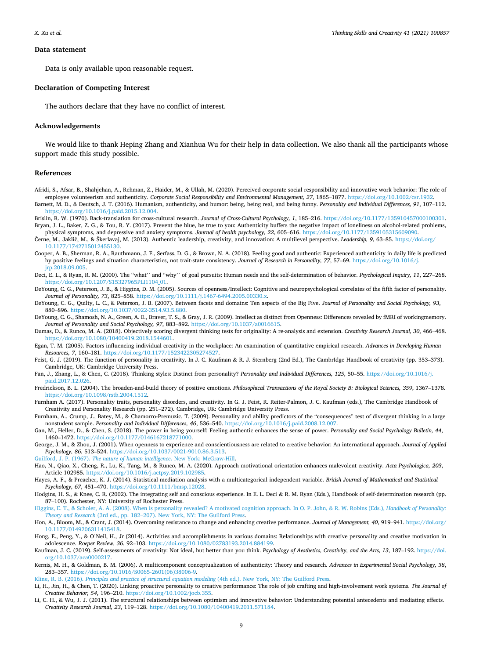#### <span id="page-8-0"></span>**Data statement**

Data is only available upon reasonable request.

#### **Declaration of Competing Interest**

The authors declare that they have no conflict of interest.

## **Acknowledgements**

We would like to thank Heping Zhang and Xianhua Wu for their help in data collection. We also thank all the participants whose support made this study possible.

#### **References**

- Afridi, S., Afsar, B., Shahjehan, A., Rehman, Z., Haider, M., & Ullah, M. (2020). Perceived corporate social responsibility and innovative work behavior: The role of employee volunteerism and authenticity. *Corporate Social Responsibility and Environmental Management, 27*, 1865–1877.<https://doi.org/10.1002/csr.1932>. Barnett, M. D., & Deutsch, J. T. (2016). Humanism, authenticity, and humor: being, being real, and being funny. *Personality and Individual Differences, 91*, 107–112. <https://doi.org/10.1016/j.paid.2015.12.004>.
- Brislin, R. W. (1970). Back-translation for cross-cultural research. *Journal of Cross-Cultural Psychology, 1*, 185–216. [https://doi.org/10.1177/135910457000100301.](https://doi.org/10.1177/135910457000100301) Bryan, J. L., Baker, Z. G., & Tou, R. Y. (2017). Prevent the blue, be true to you: Authenticity buffers the negative impact of loneliness on alcohol-related problems,
- physical symptoms, and depressive and anxiety symptoms. *Journal of health psychology, 22*, 605–616. [https://doi.org/10.1177/1359105315609090.](https://doi.org/10.1177/1359105315609090) Cerne, M., Jaklič, M., & Škerlavaj, M. (2013). Authentic leadership, creativity, and innovation: A multilevel perspective. *Leadership*, 9, 63–85. [https://doi.org/](https://doi.org/10.1177/1742715012455130) [10.1177/1742715012455130.](https://doi.org/10.1177/1742715012455130)
- Cooper, A. B., Sherman, R. A., Rauthmann, J. F., Serfass, D. G., & Brown, N. A. (2018). Feeling good and authentic: Experienced authenticity in daily life is predicted by positive feelings and situation characteristics, not trait-state consistency. *Journal of Research in Personality, 77*, 57–69. [https://doi.org/10.1016/j.](https://doi.org/10.1016/j.jrp.2018.09.005) [jrp.2018.09.005.](https://doi.org/10.1016/j.jrp.2018.09.005)
- Deci, E. L., & Ryan, R. M. (2000). The ''what'' and ''why'' of goal pursuits: Human needs and the self-determination of behavior. *Psychological Inquiry, 11*, 227–268. [https://doi.org/10.1207/S15327965PLI1104\\_01.](https://doi.org/10.1207/S15327965PLI1104_01)
- DeYoung, C. G., Peterson, J. B., & Higgins, D. M. (2005). Sources of openness/Intellect: Cognitive and neuropsychological correlates of the fifth factor of personality. *Journal of Personality, 73*, 825–858. [https://doi.org/10.1111/j.1467-6494.2005.00330.x.](https://doi.org/10.1111/j.1467-6494.2005.00330.x)
- DeYoung, C. G., Quilty, L. C., & Peterson, J. B. (2007). Between facets and domains: Ten aspects of the Big Five. *Journal of Personality and Social Psychology, 93*, 880–896. <https://doi.org/10.1037/0022-3514.93.5.880>.
- DeYoung, C. G., Shamosh, N. A., Green, A. E., Braver, T. S., & Gray, J. R. (2009). Intellect as distinct from Openness: Differences revealed by fMRI of workingmemory. *Journal of Personality and Social Psychology, 97*, 883–892. [https://doi.org/10.1037/a0016615.](https://doi.org/10.1037/a0016615)
- Dumas, D., & Runco, M. A. (2018). Objectively scoring divergent thinking tests for originality: A re-analysis and extension. *Creativity Research Journal, 30*, 466–468. [https://doi.org/10.1080/10400419.2018.1544601.](https://doi.org/10.1080/10400419.2018.1544601)
- Egan, T. M. (2005). Factors influencing individual creativity in the workplace: An examination of quantitative empirical research. *Advances in Developing Human Resources, 7*, 160–181. <https://doi.org/10.1177/1523422305274527>.
- Feist, G. J. (2019). The function of personality in creativity. In J. C. Kaufman & R. J. Sternberg (2nd Ed.), The CambrIdge Handbook of creativity (pp. 353-373). Cambridge, UK: Cambridge University Press.
- Fan, J., Zhang, L., & Chen, C. (2018). Thinking styles: Distinct from personality? *Personality and Individual Differences, 125*, 50–55. [https://doi.org/10.1016/j.](https://doi.org/10.1016/j.paid.2017.12.026)  [paid.2017.12.026.](https://doi.org/10.1016/j.paid.2017.12.026)
- Fredrickson, B. L. (2004). The broaden-and-build theory of positive emotions. *Philosophical Transactions of the Royal Society B: Biological Sciences, 359*, 1367–1378. [https://doi.org/10.1098/rstb.2004.1512.](https://doi.org/10.1098/rstb.2004.1512)
- Furnham A. (2017). Personality traits, personality disorders, and creativity. In G. J. Feist, R. Reiter-Palmon, J. C. Kaufman (eds.), The Cambridge Handbook of Creativity and Personality Research (pp. 251–272). Cambridge, UK: Cambridge University Press.
- Furnham, A., Crump, J., Batey, M., & Chamorro-Premuzic, T. (2009). Personality and ability predictors of the "consequences" test of divergent thinking in a large nonstudent sample. *Personality and Individual Differences, 46*, 536–540. <https://doi.org/10.1016/j.paid.2008.12.007>.
- Gan, M., Heller, D., & Chen, S. (2018). The power in being yourself: Feeling authentic enhances the sense of power. *Personality and Social Psychology Bulletin, 44*, 1460–1472. [https://doi.org/10.1177/0146167218771000.](https://doi.org/10.1177/0146167218771000)
- George, J. M., & Zhou, J. (2001). When openness to experience and conscientiousness are related to creative behavior: An international approach. *Journal of Applied Psychology, 86*, 513–524. <https://doi.org/10.1037/0021-9010.86.3.513>.
- Guilford, J. P. (1967). *[The nature of human intelligence](http://refhub.elsevier.com/S1871-1871(21)00072-9/sbref0020)*. New York: McGraw-Hill.
- Hao, N., Qiao, X., Cheng, R., Lu, K., Tang, M., & Runco, M. A. (2020). Approach motivational orientation enhances malevolent creativity. *Acta Psychologica, 203*, Article 102985.<https://doi.org/10.1016/j.actpsy.2019.102985>.
- Hayes, A. F., & Preacher, K. J. (2014). Statistical mediation analysis with a multicategorical independent variable. *British Journal of Mathematical and Statistical Psychology, 67*, 451–470. <https://doi.org/10.1111/bmsp.12028>.
- Hodgins, H. S., & Knee, C. R. (2002). The integrating self and conscious experience. In E. L. Deci & R. M. Ryan (Eds.), Handbook of self-determination research (pp. 87–100). Rochester, NY: University of Rochester Press.
- [Higgins, E. T., & Scholer, A. A. \(2008\). When is personality revealed? A motivated cognition approach. In O. P. John, & R. W. Robins \(Eds.\),](http://refhub.elsevier.com/S1871-1871(21)00072-9/sbref0023) *Handbook of Personality: Theory and Research* (3rd ed., pp. 182–[207\). New York, NY: The Guilford Press.](http://refhub.elsevier.com/S1871-1871(21)00072-9/sbref0023)
- Hon, A., Bloom, M., & Crant, J. (2014). Overcoming resistance to change and enhancing creative performance. *Journal of Management, 40*, 919–941. [https://doi.org/](https://doi.org/10.1177/0149206311415418) [10.1177/0149206311415418.](https://doi.org/10.1177/0149206311415418)
- Hong, E., Peng, Y., & O'Neil, H., Jr (2014). Activities and accomplishments in various domains: Relationships with creative personality and creative motivation in adolescence. *Roeper Review, 36*, 92–103. [https://doi.org/10.1080/02783193.2014.884199.](https://doi.org/10.1080/02783193.2014.884199)
- Kaufman, J. C. (2019). Self-assessments of creativity: Not ideal, but better than you think. *Psychology of Aesthetics, Creativity, and the Arts, 13*, 187–192. [https://doi.](https://doi.org/10.1037/aca0000217) [org/10.1037/aca0000217](https://doi.org/10.1037/aca0000217).
- Kernis, M. H., & Goldman, B. M. (2006). A multicomponent conceptualization of authenticity: Theory and research. *Advances in Experimental Social Psychology, 38*, 283–357. [https://doi.org/10.1016/S0065-2601\(06\)38006-9](https://doi.org/10.1016/S0065-2601(06)38006-9).
- Kline, R. B. (2016). *[Principles and practice of structural equation modeling](http://refhub.elsevier.com/S1871-1871(21)00072-9/sbref0029)* (4th ed.). New York, NY: The Guilford Press.
- Li, H., Jin, H., & Chen, T. (2020). Linking proactive personality to creative performance: The role of job crafting and high-involvement work systems. *The Journal of Creative Behavior, 54*, 196–210. <https://doi.org/10.1002/jocb.355>.
- Li, C. H., & Wu, J. J. (2011). The structural relationships between optimism and innovative behavior: Understanding potential antecedents and mediating effects. *Creativity Research Journal, 23*, 119–128. [https://doi.org/10.1080/10400419.2011.571184.](https://doi.org/10.1080/10400419.2011.571184)